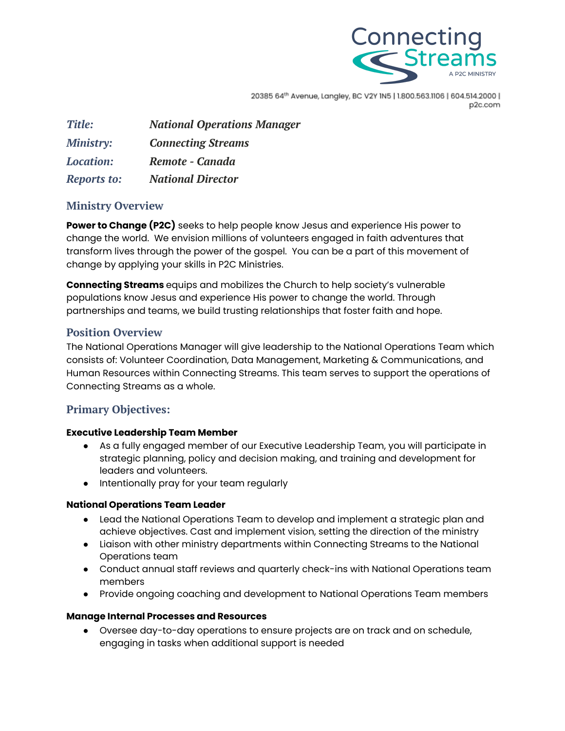

20385 64th Avenue, Langley, BC V2Y IN5 | 1.800.563.1106 | 604.514.2000 | p2c.com

| <b>Title:</b>      | <b>National Operations Manager</b> |
|--------------------|------------------------------------|
| <b>Ministry:</b>   | <b>Connecting Streams</b>          |
| <b>Location:</b>   | Remote - Canada                    |
| <b>Reports to:</b> | <b>National Director</b>           |

# **Ministry Overview**

**Power to Change (P2C)** seeks to help people know Jesus and experience His power to change the world. We envision millions of volunteers engaged in faith adventures that transform lives through the power of the gospel. You can be a part of this movement of change by applying your skills in P2C Ministries.

**Connecting Streams** equips and mobilizes the Church to help society's vulnerable populations know Jesus and experience His power to change the world. Through partnerships and teams, we build trusting relationships that foster faith and hope.

# **Position Overview**

The National Operations Manager will give leadership to the National Operations Team which consists of: Volunteer Coordination, Data Management, Marketing & Communications, and Human Resources within Connecting Streams. This team serves to support the operations of Connecting Streams as a whole.

# **Primary Objectives:**

### **Executive Leadership Team Member**

- As a fully engaged member of our Executive Leadership Team, you will participate in strategic planning, policy and decision making, and training and development for leaders and volunteers.
- Intentionally pray for your team regularly

### **National Operations Team Leader**

- Lead the National Operations Team to develop and implement a strategic plan and achieve objectives. Cast and implement vision, setting the direction of the ministry
- Liaison with other ministry departments within Connecting Streams to the National Operations team
- Conduct annual staff reviews and quarterly check-ins with National Operations team members
- Provide ongoing coaching and development to National Operations Team members

### **Manage Internal Processes and Resources**

● Oversee day-to-day operations to ensure projects are on track and on schedule, engaging in tasks when additional support is needed